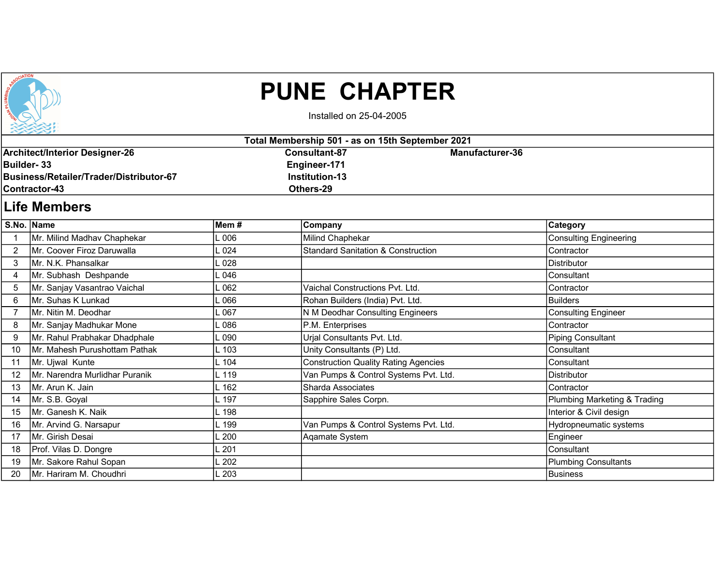

## PUNE CHAPTER

Installed on 25-04-2005

| Total Membership 501 - as on 15th September 2021 |                |                 |  |  |  |
|--------------------------------------------------|----------------|-----------------|--|--|--|
| Architect/Interior Designer-26                   | Consultant-87  | Manufacturer-36 |  |  |  |
| Builder- 33                                      | Engineer-171   |                 |  |  |  |
| /Business/Retailer/Trader/Distributor-67         | Institution-13 |                 |  |  |  |
| <b>I</b> Contractor-43                           | Others-29      |                 |  |  |  |
|                                                  |                |                 |  |  |  |

## Life Members

|               | S.No. Name                     | Mem#    | Company                                       | Category                     |
|---------------|--------------------------------|---------|-----------------------------------------------|------------------------------|
|               | Mr. Milind Madhav Chaphekar    | 006     | Milind Chaphekar                              | Consulting Engineering       |
| $\mathcal{P}$ | Mr. Coover Firoz Daruwalla     | 024     | <b>Standard Sanitation &amp; Construction</b> | Contractor                   |
| 3             | Mr. N.K. Phansalkar            | 028     |                                               | Distributor                  |
| 4             | Mr. Subhash Deshpande          | .046    |                                               | Consultant                   |
| 5             | Mr. Sanjay Vasantrao Vaichal   | .062    | Vaichal Constructions Pvt. Ltd.               | Contractor                   |
| 6             | Mr. Suhas K Lunkad             | .066    | Rohan Builders (India) Pvt. Ltd.              | Builders                     |
|               | Mr. Nitin M. Deodhar           | .067    | N M Deodhar Consulting Engineers              | Consulting Engineer          |
| 8             | Mr. Sanjay Madhukar Mone       | .086    | P.M. Enterprises                              | Contractor                   |
| 9             | Mr. Rahul Prabhakar Dhadphale  | .090    | Urjal Consultants Pvt. Ltd.                   | Piping Consultant            |
| 10            | Mr. Mahesh Purushottam Pathak  | L 103   | Unity Consultants (P) Ltd.                    | Consultant                   |
|               | Mr. Ujwal Kunte                | L 104   | <b>Construction Quality Rating Agencies</b>   | Consultant                   |
| 12            | Mr. Narendra Murlidhar Puranik | L 119   | Van Pumps & Control Systems Pvt. Ltd.         | Distributor                  |
| 13            | IMr. Arun K. Jain              | . 162   | Sharda Associates                             | Contractor                   |
| 14            | Mr. S.B. Goyal                 | L 197   | Sapphire Sales Corpn.                         | Plumbing Marketing & Trading |
| 15            | Mr. Ganesh K. Naik             | .198    |                                               | Interior & Civil design      |
| 16            | Mr. Arvind G. Narsapur         | $-199$  | Van Pumps & Control Systems Pvt. Ltd.         | Hydropneumatic systems       |
| 17            | Mr. Girish Desai               | .200    | Aqamate System                                | Engineer                     |
| 18            | Prof. Vilas D. Dongre          | $-201$  |                                               | Consultant                   |
| 19            | Mr. Sakore Rahul Sopan         | . 202   |                                               | Plumbing Consultants         |
| 20            | Mr. Hariram M. Choudhri        | $\_203$ |                                               | Business                     |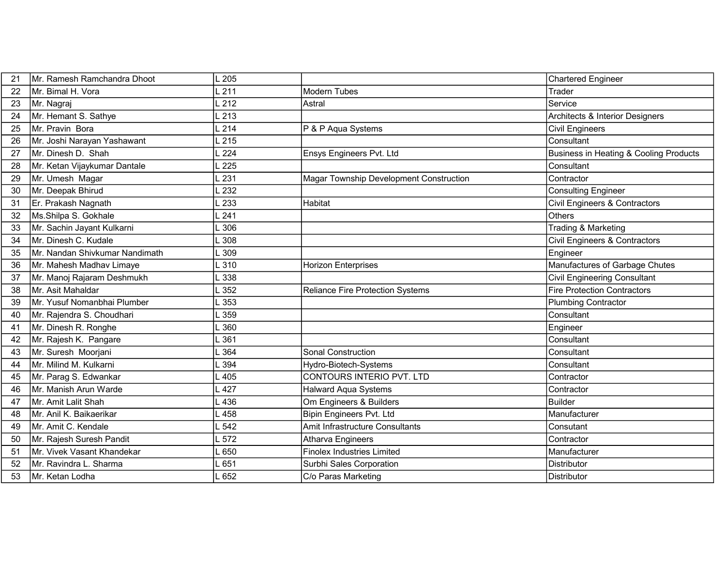| 21 | Mr. Ramesh Ramchandra Dhoot    | .205   |                                         | Chartered Engineer                     |
|----|--------------------------------|--------|-----------------------------------------|----------------------------------------|
| 22 | İMr. Bimal H. Vora             | $-211$ | <b>Modern Tubes</b>                     | Trader                                 |
| 23 | Mr. Nagraj                     | .212   | Astral                                  | Service                                |
| 24 | Mr. Hemant S. Sathye           | .213   |                                         | Architects & Interior Designers        |
| 25 | Mr. Pravin Bora                | .214   | P & P Aqua Systems                      | <b>Civil Engineers</b>                 |
| 26 | Mr. Joshi Narayan Yashawant    | $-215$ |                                         | Consultant                             |
| 27 | Mr. Dinesh D. Shah             | 224    | Ensys Engineers Pvt. Ltd                | Business in Heating & Cooling Products |
| 28 | Mr. Ketan Vijaykumar Dantale   | 225    |                                         | Consultant                             |
| 29 | Mr. Umesh Magar                | 231    | Magar Township Development Construction | Contractor                             |
| 30 | Mr. Deepak Bhirud              | 232    |                                         | <b>Consulting Engineer</b>             |
| 31 | Er. Prakash Nagnath            | 233    | Habitat                                 | Civil Engineers & Contractors          |
| 32 | Ms.Shilpa S. Gokhale           | 241    |                                         | Others                                 |
| 33 | Mr. Sachin Jayant Kulkarni     | .306   |                                         | Trading & Marketing                    |
| 34 | Mr. Dinesh C. Kudale           | 308    |                                         | Civil Engineers & Contractors          |
| 35 | Mr. Nandan Shivkumar Nandimath | .309   |                                         | Engineer                               |
| 36 | Mr. Mahesh Madhav Limaye       | .310   | <b>Horizon Enterprises</b>              | Manufactures of Garbage Chutes         |
| 37 | Mr. Manoj Rajaram Deshmukh     | .338   |                                         | Civil Engineering Consultant           |
| 38 | Mr. Asit Mahaldar              | 352    | <b>Reliance Fire Protection Systems</b> | Fire Protection Contractors            |
| 39 | Mr. Yusuf Nomanbhai Plumber    | 353    |                                         | Plumbing Contractor                    |
| 40 | Mr. Rajendra S. Choudhari      | 359    |                                         | Consultant                             |
| 41 | Mr. Dinesh R. Ronghe           | .360   |                                         | Engineer                               |
| 42 | Mr. Rajesh K. Pangare          | 361    |                                         | Consultant                             |
| 43 | Mr. Suresh Moorjani            | .364   | Sonal Construction                      | Consultant                             |
| 44 | Mr. Milind M. Kulkarni         | 394    | Hydro-Biotech-Systems                   | Consultant                             |
| 45 | Mr. Parag S. Edwankar          | .405   | CONTOURS INTERIO PVT. LTD               | Contractor                             |
| 46 | Mr. Manish Arun Warde          | 427    | <b>Halward Aqua Systems</b>             | Contractor                             |
| 47 | Mr. Amit Lalit Shah            | 436    | Om Engineers & Builders                 | Builder                                |
| 48 | Mr. Anil K. Baikaerikar        | 458    | Bipin Engineers Pvt. Ltd                | Manufacturer                           |
| 49 | Mr. Amit C. Kendale            | 542    | Amit Infrastructure Consultants         | Consutant                              |
| 50 | Mr. Rajesh Suresh Pandit       | 572    | Atharva Engineers                       | Contractor                             |
| 51 | Mr. Vivek Vasant Khandekar     | 650    | <b>Finolex Industries Limited</b>       | Manufacturer                           |
| 52 | Mr. Ravindra L. Sharma         | $-651$ | Surbhi Sales Corporation                | Distributor                            |
| 53 | Mr. Ketan Lodha                | 652    | C/o Paras Marketing                     | Distributor                            |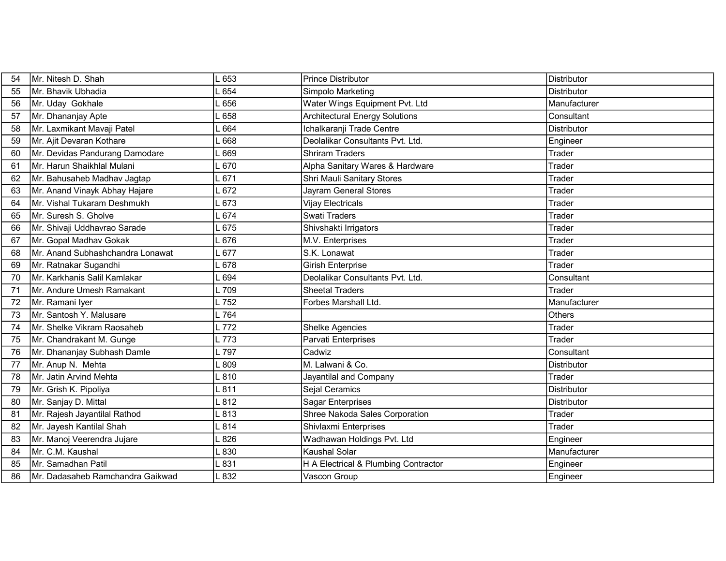| 54 | Mr. Nitesh D. Shah               | 653    | <b>Prince Distributor</b>             | Distributor        |
|----|----------------------------------|--------|---------------------------------------|--------------------|
| 55 | İMr. Bhavik Ubhadia              | 654    | Simpolo Marketing                     | <b>Distributor</b> |
| 56 | Mr. Uday Gokhale                 | 656    | Water Wings Equipment Pvt. Ltd        | Manufacturer       |
| 57 | Mr. Dhananjay Apte               | 658    | <b>Architectural Energy Solutions</b> | Consultant         |
| 58 | Mr. Laxmikant Mavaji Patel       | 664    | Ichalkaranji Trade Centre             | Distributor        |
| 59 | Mr. Ajit Devaran Kothare         | 668    | Deolalikar Consultants Pvt. Ltd.      | Engineer           |
| 60 | Mr. Devidas Pandurang Damodare   | .669   | <b>Shriram Traders</b>                | Trader             |
| 61 | Mr. Harun Shaikhlal Mulani       | 670    | Alpha Sanitary Wares & Hardware       | Trader             |
| 62 | Mr. Bahusaheb Madhav Jagtap      | 671    | Shri Mauli Sanitary Stores            | Trader             |
| 63 | Mr. Anand Vinayk Abhay Hajare    | $-672$ | Jayram General Stores                 | Trader             |
| 64 | Mr. Vishal Tukaram Deshmukh      | 673    | <b>Vijay Electricals</b>              | Trader             |
| 65 | Mr. Suresh S. Gholve             | 674    | <b>Swati Traders</b>                  | Trader             |
| 66 | Mr. Shivaji Uddhavrao Sarade     | 675    | Shivshakti Irrigators                 | Trader             |
| 67 | Mr. Gopal Madhav Gokak           | .676   | M.V. Enterprises                      | Trader             |
| 68 | Mr. Anand Subhashchandra Lonawat | 677    | S.K. Lonawat                          | Trader             |
| 69 | Mr. Ratnakar Sugandhi            | 678    | <b>Girish Enterprise</b>              | Trader             |
| 70 | Mr. Karkhanis Salil Kamlakar     | 694    | Deolalikar Consultants Pvt. Ltd.      | Consultant         |
| 71 | Mr. Andure Umesh Ramakant        | L 709  | <b>Sheetal Traders</b>                | Trader             |
| 72 | Mr. Ramani Iyer                  | L 752  | Forbes Marshall Ltd.                  | Manufacturer       |
| 73 | Mr. Santosh Y. Malusare          | $-764$ |                                       | Others             |
| 74 | Mr. Shelke Vikram Raosaheb       | L 772  | <b>Shelke Agencies</b>                | Trader             |
| 75 | Mr. Chandrakant M. Gunge         | $-773$ | Parvati Enterprises                   | Trader             |
| 76 | Mr. Dhananjay Subhash Damle      | L 797  | Cadwiz                                | Consultant         |
| 77 | Mr. Anup N. Mehta                | .809   | M. Lalwani & Co.                      | <b>Distributor</b> |
| 78 | Mr. Jatin Arvind Mehta           | $-810$ | Jayantilal and Company                | Trader             |
| 79 | Mr. Grish K. Pipoliya            | 811    | Sejal Ceramics                        | Distributor        |
| 80 | Mr. Sanjay D. Mittal             | .812   | <b>Sagar Enterprises</b>              | Distributor        |
| 81 | Mr. Rajesh Jayantilal Rathod     | $-813$ | Shree Nakoda Sales Corporation        | Trader             |
| 82 | Mr. Jayesh Kantilal Shah         | 814    | Shivlaxmi Enterprises                 | Trader             |
| 83 | Mr. Manoj Veerendra Jujare       | 826    | Wadhawan Holdings Pvt. Ltd            | Engineer           |
| 84 | Mr. C.M. Kaushal                 | .830   | <b>Kaushal Solar</b>                  | Manufacturer       |
| 85 | Mr. Samadhan Patil               | L831   | H A Electrical & Plumbing Contractor  | Engineer           |
| 86 | Mr. Dadasaheb Ramchandra Gaikwad | .832   | Vascon Group                          | Engineer           |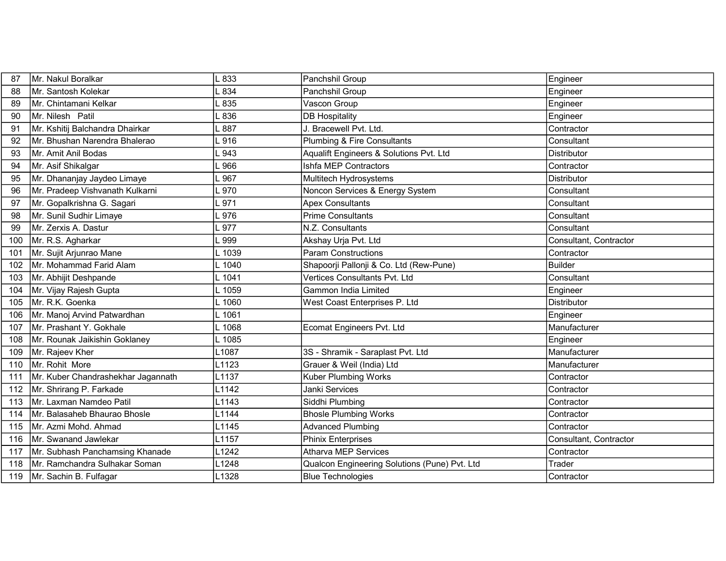| 87  | Mr. Nakul Boralkar                 | .833    | Panchshil Group                               | Engineer               |
|-----|------------------------------------|---------|-----------------------------------------------|------------------------|
| 88  | Mr. Santosh Kolekar                | .834    | Panchshil Group                               | Engineer               |
| 89  | Mr. Chintamani Kelkar              | .835    | Vascon Group                                  | Engineer               |
| 90  | Mr. Nilesh Patil                   | .836    | <b>DB Hospitality</b>                         | Engineer               |
| 91  | Mr. Kshitij Balchandra Dhairkar    | 887     | J. Bracewell Pvt. Ltd.                        | Contractor             |
| 92  | Mr. Bhushan Narendra Bhalerao      | 1916    | Plumbing & Fire Consultants                   | Consultant             |
| 93  | Mr. Amit Anil Bodas                | 943     | Aqualift Engineers & Solutions Pvt. Ltd       | <b>Distributor</b>     |
| 94  | Mr. Asif Shikalgar                 | .966    | Ishfa MEP Contractors                         | Contractor             |
| 95  | Mr. Dhananjay Jaydeo Limaye        | 967     | Multitech Hydrosystems                        | <b>Distributor</b>     |
| 96  | Mr. Pradeep Vishvanath Kulkarni    | .970    | Noncon Services & Energy System               | Consultant             |
| 97  | Mr. Gopalkrishna G. Sagari         | .971    | <b>Apex Consultants</b>                       | Consultant             |
| 98  | Mr. Sunil Sudhir Limaye            | .976    | <b>Prime Consultants</b>                      | Consultant             |
| 99  | Mr. Zerxis A. Dastur               | .977    | N.Z. Consultants                              | Consultant             |
| 100 | Mr. R.S. Agharkar                  | .999    | Akshay Urja Pvt. Ltd                          | Consultant, Contractor |
| 101 | Mr. Sujit Arjunrao Mane            | L 1039  | <b>Param Constructions</b>                    | Contractor             |
| 102 | Mr. Mohammad Farid Alam            | $-1040$ | Shapoorji Pallonji & Co. Ltd (Rew-Pune)       | <b>Builder</b>         |
| 103 | Mr. Abhijit Deshpande              | L 1041  | Vertices Consultants Pvt. Ltd                 | Consultant             |
| 104 | Mr. Vijay Rajesh Gupta             | L 1059  | <b>Gammon India Limited</b>                   | Engineer               |
| 105 | Mr. R.K. Goenka                    | L 1060  | West Coast Enterprises P. Ltd                 | Distributor            |
| 106 | Mr. Manoj Arvind Patwardhan        | 1061    |                                               | Engineer               |
| 107 | Mr. Prashant Y. Gokhale            | L 1068  | Ecomat Engineers Pvt. Ltd                     | Manufacturer           |
| 108 | Mr. Rounak Jaikishin Goklaney      | 1085    |                                               | Engineer               |
| 109 | Mr. Rajeev Kher                    | L1087   | 3S - Shramik - Saraplast Pvt. Ltd             | Manufacturer           |
| 110 | Mr. Rohit More                     | L1123   | Grauer & Weil (India) Ltd                     | Manufacturer           |
| 111 | Mr. Kuber Chandrashekhar Jagannath | L1137   | <b>Kuber Plumbing Works</b>                   | Contractor             |
| 112 | Mr. Shrirang P. Farkade            | L1142   | Janki Services                                | Contractor             |
| 113 | Mr. Laxman Namdeo Patil            | L1143   | Siddhi Plumbing                               | Contractor             |
| 114 | Mr. Balasaheb Bhaurao Bhosle       | L1144   | <b>Bhosle Plumbing Works</b>                  | Contractor             |
| 115 | Mr. Azmi Mohd. Ahmad               | L1145   | <b>Advanced Plumbing</b>                      | Contractor             |
| 116 | Mr. Swanand Jawlekar               | L1157   | <b>Phinix Enterprises</b>                     | Consultant, Contractor |
| 117 | Mr. Subhash Panchamsing Khanade    | L1242   | <b>Atharva MEP Services</b>                   | Contractor             |
| 118 | Mr. Ramchandra Sulhakar Soman      | L1248   | Qualcon Engineering Solutions (Pune) Pvt. Ltd | Trader                 |
| 119 | Mr. Sachin B. Fulfagar             | L1328   | <b>Blue Technologies</b>                      | Contractor             |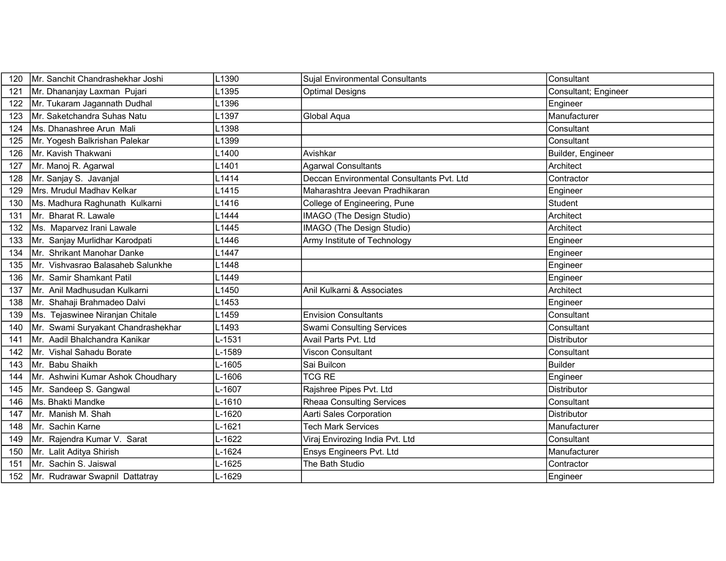| 120 | Mr. Sanchit Chandrashekhar Joshi   | L1390             | <b>Sujal Environmental Consultants</b>    | Consultant           |
|-----|------------------------------------|-------------------|-------------------------------------------|----------------------|
| 121 | Mr. Dhananjay Laxman Pujari        | L <sub>1395</sub> | <b>Optimal Designs</b>                    | Consultant; Engineer |
| 122 | Mr. Tukaram Jagannath Dudhal       | L1396             |                                           | Engineer             |
| 123 | Mr. Saketchandra Suhas Natu        | L1397             | Global Aqua                               | Manufacturer         |
| 124 | Ms. Dhanashree Arun Mali           | L1398             |                                           | Consultant           |
| 125 | Mr. Yogesh Balkrishan Palekar      | L1399             |                                           | Consultant           |
| 126 | Mr. Kavish Thakwani                | L1400             | Avishkar                                  | Builder, Engineer    |
| 127 | Mr. Manoj R. Agarwal               | L1401             | <b>Agarwal Consultants</b>                | Architect            |
| 128 | Mr. Sanjay S. Javanjal             | L <sub>1414</sub> | Deccan Environmental Consultants Pvt. Ltd | Contractor           |
| 129 | Mrs. Mrudul Madhav Kelkar          | L1415             | Maharashtra Jeevan Pradhikaran            | Engineer             |
| 130 | Ms. Madhura Raghunath Kulkarni     | L1416             | College of Engineering, Pune              | Student              |
| 131 | Mr. Bharat R. Lawale               | L1444             | IMAGO (The Design Studio)                 | Architect            |
| 132 | Ms. Maparvez Irani Lawale          | L1445             | IMAGO (The Design Studio)                 | Architect            |
| 133 | Mr. Sanjay Murlidhar Karodpati     | L1446             | Army Institute of Technology              | Engineer             |
| 134 | Mr. Shrikant Manohar Danke         | L1447             |                                           | Engineer             |
| 135 | Mr. Vishvasrao Balasaheb Salunkhe  | L1448             |                                           | Engineer             |
| 136 | Mr. Samir Shamkant Patil           | L1449             |                                           | Engineer             |
| 137 | Mr. Anil Madhusudan Kulkarni       | L1450             | Anil Kulkarni & Associates                | Architect            |
| 138 | Mr. Shahaji Brahmadeo Dalvi        | L1453             |                                           | Engineer             |
| 139 | Ms. Tejaswinee Niranjan Chitale    | L1459             | <b>Envision Consultants</b>               | Consultant           |
| 140 | Mr. Swami Suryakant Chandrashekhar | L1493             | <b>Swami Consulting Services</b>          | Consultant           |
| 141 | Mr. Aadil Bhalchandra Kanikar      | L-1531            | Avail Parts Pvt. Ltd                      | Distributor          |
| 142 | Mr. Vishal Sahadu Borate           | L-1589            | <b>Viscon Consultant</b>                  | Consultant           |
| 143 | Mr. Babu Shaikh                    | L-1605            | Sai Builcon                               | Builder              |
| 144 | Mr. Ashwini Kumar Ashok Choudhary  | L-1606            | <b>TCG RE</b>                             | Engineer             |
| 145 | Mr. Sandeep S. Gangwal             | L-1607            | Rajshree Pipes Pvt. Ltd                   | Distributor          |
| 146 | Ms. Bhakti Mandke                  | L-1610            | <b>Rheaa Consulting Services</b>          | Consultant           |
| 147 | Mr. Manish M. Shah                 | L-1620            | Aarti Sales Corporation                   | <b>Distributor</b>   |
| 148 | Mr. Sachin Karne                   | L-1621            | <b>Tech Mark Services</b>                 | Manufacturer         |
| 149 | Mr. Rajendra Kumar V. Sarat        | L-1622            | Viraj Envirozing India Pvt. Ltd           | Consultant           |
| 150 | Mr. Lalit Aditya Shirish           | L-1624            | Ensys Engineers Pvt. Ltd                  | Manufacturer         |
| 151 | Mr. Sachin S. Jaiswal              | L-1625            | The Bath Studio                           | Contractor           |
| 152 | Mr. Rudrawar Swapnil Dattatray     | L-1629            |                                           | Engineer             |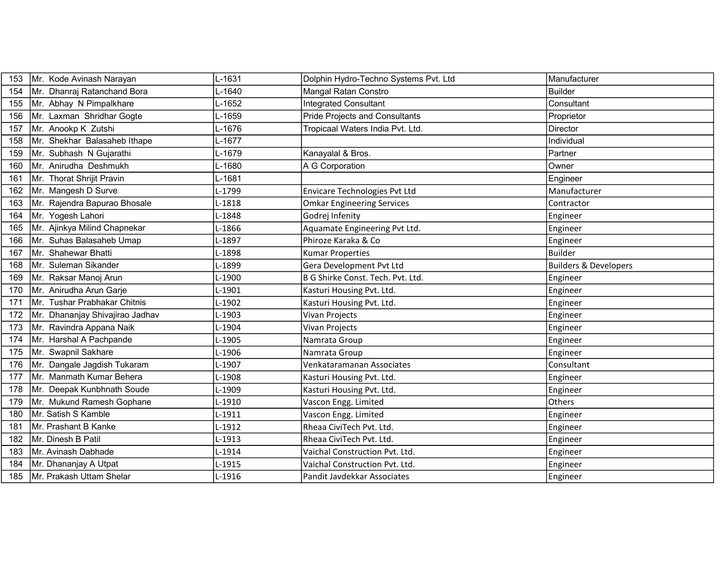| 153 | Mr. Kode Avinash Narayan        | L-1631     | Dolphin Hydro-Techno Systems Pvt. Ltd | Manufacturer                     |
|-----|---------------------------------|------------|---------------------------------------|----------------------------------|
| 154 | Mr. Dhanraj Ratanchand Bora     | L-1640     | Mangal Ratan Constro                  | <b>Builder</b>                   |
| 155 | Mr. Abhay N Pimpalkhare         | L-1652     | <b>Integrated Consultant</b>          | Consultant                       |
| 156 | Mr. Laxman Shridhar Gogte       | L-1659     | <b>Pride Projects and Consultants</b> | Proprietor                       |
| 157 | Mr. Anookp K Zutshi             | L-1676     | Tropicaal Waters India Pvt. Ltd.      | Director                         |
| 158 | Mr. Shekhar Balasaheb Ithape    | L-1677     |                                       | Individual                       |
| 159 | Mr. Subhash N Gujarathi         | L-1679     | Kanayalal & Bros.                     | Partner                          |
| 160 | Mr. Anirudha Deshmukh           | L-1680     | A G Corporation                       | Owner                            |
| 161 | Mr. Thorat Shrijit Pravin       | L-1681     |                                       | Engineer                         |
| 162 | Mr. Mangesh D Surve             | L-1799     | Envicare Technologies Pvt Ltd         | Manufacturer                     |
| 163 | Mr. Rajendra Bapurao Bhosale    | L-1818     | <b>Omkar Engineering Services</b>     | Contractor                       |
| 164 | Mr. Yogesh Lahori               | L-1848     | Godrej Infenity                       | Engineer                         |
| 165 | Mr. Ajinkya Milind Chapnekar    | L-1866     | Aquamate Engineering Pvt Ltd.         | Engineer                         |
| 166 | Mr. Suhas Balasaheb Umap        | L-1897     | Phiroze Karaka & Co                   | Engineer                         |
| 167 | Mr. Shahewar Bhatti             | L-1898     | <b>Kumar Properties</b>               | <b>Builder</b>                   |
| 168 | Mr. Suleman Sikander            | L-1899     | Gera Development Pvt Ltd              | <b>Builders &amp; Developers</b> |
| 169 | Mr. Raksar Manoj Arun           | L-1900     | B G Shirke Const. Tech. Pvt. Ltd.     | Engineer                         |
| 170 | Mr. Anirudha Arun Garje         | L-1901     | Kasturi Housing Pvt. Ltd.             | Engineer                         |
| 171 | Mr. Tushar Prabhakar Chitnis    | L-1902     | Kasturi Housing Pvt. Ltd.             | Engineer                         |
| 172 | Mr. Dhananjay Shivajirao Jadhav | L-1903     | Vivan Projects                        | Engineer                         |
| 173 | Mr. Ravindra Appana Naik        | L-1904     | Vivan Projects                        | Engineer                         |
| 174 | Mr. Harshal A Pachpande         | L-1905     | Namrata Group                         | Engineer                         |
| 175 | Mr. Swapnil Sakhare             | L-1906     | Namrata Group                         | Engineer                         |
| 176 | Mr. Dangale Jagdish Tukaram     | L-1907     | Venkataramanan Associates             | Consultant                       |
| 177 | Mr. Manmath Kumar Behera        | L-1908     | Kasturi Housing Pvt. Ltd.             | Engineer                         |
| 178 | Mr. Deepak Kunbhnath Soude      | L-1909     | Kasturi Housing Pvt. Ltd.             | Engineer                         |
| 179 | Mr. Mukund Ramesh Gophane       | L-1910     | Vascon Engg. Limited                  | Others                           |
| 180 | Mr. Satish S Kamble             | $L-1911$   | Vascon Engg. Limited                  | Engineer                         |
| 181 | Mr. Prashant B Kanke            | L-1912     | Rheaa CiviTech Pvt. Ltd.              | Engineer                         |
| 182 | Mr. Dinesh B Patil              | L-1913     | Rheaa CiviTech Pvt. Ltd.              | Engineer                         |
| 183 | Mr. Avinash Dabhade             | $L - 1914$ | Vaichal Construction Pvt. Ltd.        | Engineer                         |
| 184 | Mr. Dhananjay A Utpat           | L-1915     | Vaichal Construction Pvt. Ltd.        | Engineer                         |
| 185 | Mr. Prakash Uttam Shelar        | L-1916     | Pandit Javdekkar Associates           | Engineer                         |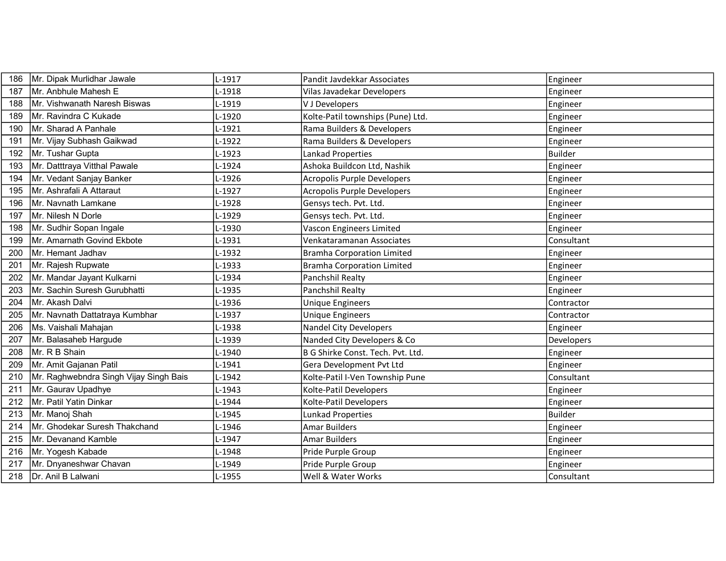| 186 | Mr. Dipak Murlidhar Jawale             | L-1917   | Pandit Javdekkar Associates        | Engineer   |
|-----|----------------------------------------|----------|------------------------------------|------------|
| 187 | Mr. Anbhule Mahesh E                   | L-1918   | Vilas Javadekar Developers         | Engineer   |
| 188 | Mr. Vishwanath Naresh Biswas           | L-1919   | V J Developers                     | Engineer   |
| 189 | Mr. Ravindra C Kukade                  | L-1920   | Kolte-Patil townships (Pune) Ltd.  | Engineer   |
| 190 | Mr. Sharad A Panhale                   | L-1921   | Rama Builders & Developers         | Engineer   |
| 191 | Mr. Vijay Subhash Gaikwad              | $L-1922$ | Rama Builders & Developers         | Engineer   |
| 192 | Mr. Tushar Gupta                       | L-1923   | Lankad Properties                  | Builder    |
| 193 | Mr. Datttraya Vitthal Pawale           | L-1924   | Ashoka Buildcon Ltd, Nashik        | Engineer   |
| 194 | Mr. Vedant Sanjay Banker               | L-1926   | Acropolis Purple Developers        | Engineer   |
| 195 | Mr. Ashrafali A Attaraut               | $L-1927$ | <b>Acropolis Purple Developers</b> | Engineer   |
| 196 | Mr. Navnath Lamkane                    | L-1928   | Gensys tech. Pvt. Ltd.             | Engineer   |
| 197 | Mr. Nilesh N Dorle                     | L-1929   | Gensys tech. Pvt. Ltd.             | Engineer   |
| 198 | Mr. Sudhir Sopan Ingale                | L-1930   | Vascon Engineers Limited           | Engineer   |
| 199 | Mr. Amarnath Govind Ekbote             | $L-1931$ | Venkataramanan Associates          | Consultant |
| 200 | Mr. Hemant Jadhav                      | L-1932   | <b>Bramha Corporation Limited</b>  | Engineer   |
| 201 | Mr. Rajesh Rupwate                     | L-1933   | <b>Bramha Corporation Limited</b>  | Engineer   |
| 202 | Mr. Mandar Jayant Kulkarni             | L-1934   | Panchshil Realty                   | Engineer   |
| 203 | Mr. Sachin Suresh Gurubhatti           | L-1935   | Panchshil Realty                   | Engineer   |
| 204 | Mr. Akash Dalvi                        | L-1936   | <b>Unique Engineers</b>            | Contractor |
| 205 | Mr. Navnath Dattatraya Kumbhar         | L-1937   | Unique Engineers                   | Contractor |
| 206 | Ms. Vaishali Mahajan                   | L-1938   | <b>Nandel City Developers</b>      | Engineer   |
| 207 | Mr. Balasaheb Hargude                  | L-1939   | Nanded City Developers & Co        | Developers |
| 208 | Mr. R B Shain                          | L-1940   | B G Shirke Const. Tech. Pvt. Ltd.  | Engineer   |
| 209 | Mr. Amit Gajanan Patil                 | $L-1941$ | Gera Development Pvt Ltd           | Engineer   |
| 210 | Mr. Raghwebndra Singh Vijay Singh Bais | L-1942   | Kolte-Patil I-Ven Township Pune    | Consultant |
| 211 | Mr. Gaurav Upadhye                     | L-1943   | Kolte-Patil Developers             | Engineer   |
| 212 | Mr. Patil Yatin Dinkar                 | L-1944   | Kolte-Patil Developers             | Engineer   |
| 213 | Mr. Manoj Shah                         | L-1945   | <b>Lunkad Properties</b>           | Builder    |
| 214 | Mr. Ghodekar Suresh Thakchand          | L-1946   | <b>Amar Builders</b>               | Engineer   |
| 215 | Mr. Devanand Kamble                    | L-1947   | <b>Amar Builders</b>               | Engineer   |
| 216 | Mr. Yogesh Kabade                      | L-1948   | Pride Purple Group                 | Engineer   |
| 217 | Mr. Dnyaneshwar Chavan                 | L-1949   | Pride Purple Group                 | Engineer   |
| 218 | Dr. Anil B Lalwani                     | L-1955   | Well & Water Works                 | Consultant |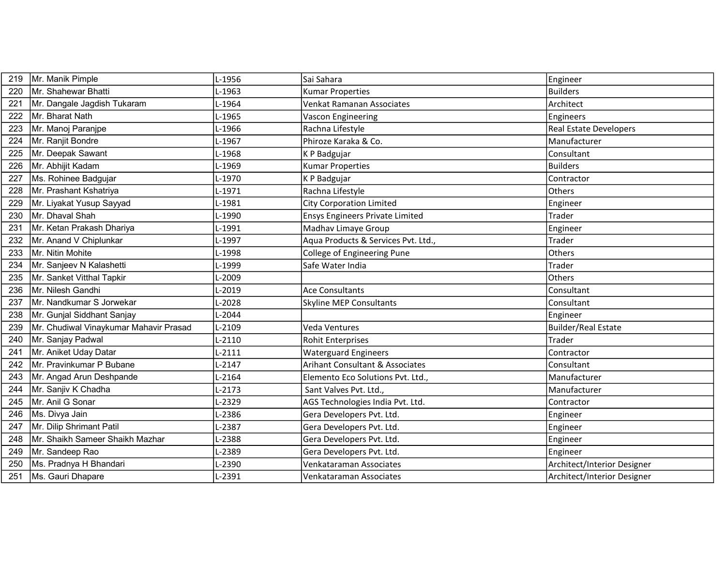| 219 | Mr. Manik Pimple                       | L-1956   | Sai Sahara                             | Engineer                      |
|-----|----------------------------------------|----------|----------------------------------------|-------------------------------|
| 220 | Mr. Shahewar Bhatti                    | L-1963   | <b>Kumar Properties</b>                | <b>Builders</b>               |
| 221 | Mr. Dangale Jagdish Tukaram            | L-1964   | Venkat Ramanan Associates              | Architect                     |
| 222 | Mr. Bharat Nath                        | L-1965   | Vascon Engineering                     | Engineers                     |
| 223 | Mr. Manoj Paranjpe                     | L-1966   | Rachna Lifestyle                       | <b>Real Estate Developers</b> |
| 224 | Mr. Ranjit Bondre                      | L-1967   | Phiroze Karaka & Co.                   | Manufacturer                  |
| 225 | Mr. Deepak Sawant                      | L-1968   | K P Badgujar                           | Consultant                    |
| 226 | Mr. Abhijit Kadam                      | L-1969   | <b>Kumar Properties</b>                | <b>Builders</b>               |
| 227 | Ms. Rohinee Badgujar                   | L-1970   | K P Badgujar                           | Contractor                    |
| 228 | Mr. Prashant Kshatriya                 | L-1971   | Rachna Lifestyle                       | Others                        |
| 229 | Mr. Liyakat Yusup Sayyad               | L-1981   | <b>City Corporation Limited</b>        | Engineer                      |
| 230 | Mr. Dhaval Shah                        | L-1990   | <b>Ensys Engineers Private Limited</b> | Trader                        |
| 231 | Mr. Ketan Prakash Dhariya              | L-1991   | Madhav Limaye Group                    | Engineer                      |
| 232 | Mr. Anand V Chiplunkar                 | L-1997   | Aqua Products & Services Pvt. Ltd.,    | Trader                        |
| 233 | Mr. Nitin Mohite                       | L-1998   | College of Engineering Pune            | Others                        |
| 234 | Mr. Sanjeev N Kalashetti               | L-1999   | Safe Water India                       | Trader                        |
| 235 | Mr. Sanket Vitthal Tapkir              | L-2009   |                                        | Others                        |
| 236 | Mr. Nilesh Gandhi                      | L-2019   | <b>Ace Consultants</b>                 | Consultant                    |
| 237 | Mr. Nandkumar S Jorwekar               | L-2028   | <b>Skyline MEP Consultants</b>         | Consultant                    |
| 238 | Mr. Gunjal Siddhant Sanjay             | L-2044   |                                        | Engineer                      |
| 239 | Mr. Chudiwal Vinaykumar Mahavir Prasad | L-2109   | <b>Veda Ventures</b>                   | <b>Builder/Real Estate</b>    |
| 240 | Mr. Sanjay Padwal                      | $L-2110$ | Rohit Enterprises                      | Trader                        |
| 241 | Mr. Aniket Uday Datar                  | $L-2111$ | <b>Waterguard Engineers</b>            | Contractor                    |
| 242 | Mr. Pravinkumar P Bubane               | $L-2147$ | Arihant Consultant & Associates        | Consultant                    |
| 243 | Mr. Angad Arun Deshpande               | $L-2164$ | Elemento Eco Solutions Pvt. Ltd.,      | Manufacturer                  |
| 244 | Mr. Sanjiv K Chadha                    | $L-2173$ | Sant Valves Pvt. Ltd.,                 | Manufacturer                  |
| 245 | Mr. Anil G Sonar                       | L-2329   | AGS Technologies India Pvt. Ltd.       | Contractor                    |
| 246 | Ms. Divya Jain                         | L-2386   | Gera Developers Pvt. Ltd.              | Engineer                      |
| 247 | Mr. Dilip Shrimant Patil               | L-2387   | Gera Developers Pvt. Ltd.              | Engineer                      |
| 248 | Mr. Shaikh Sameer Shaikh Mazhar        | L-2388   | Gera Developers Pvt. Ltd.              | Engineer                      |
| 249 | Mr. Sandeep Rao                        | L-2389   | Gera Developers Pvt. Ltd.              | Engineer                      |
| 250 | Ms. Pradnya H Bhandari                 | L-2390   | Venkataraman Associates                | Architect/Interior Designer   |
| 251 | Ms. Gauri Dhapare                      | L-2391   | Venkataraman Associates                | Architect/Interior Designer   |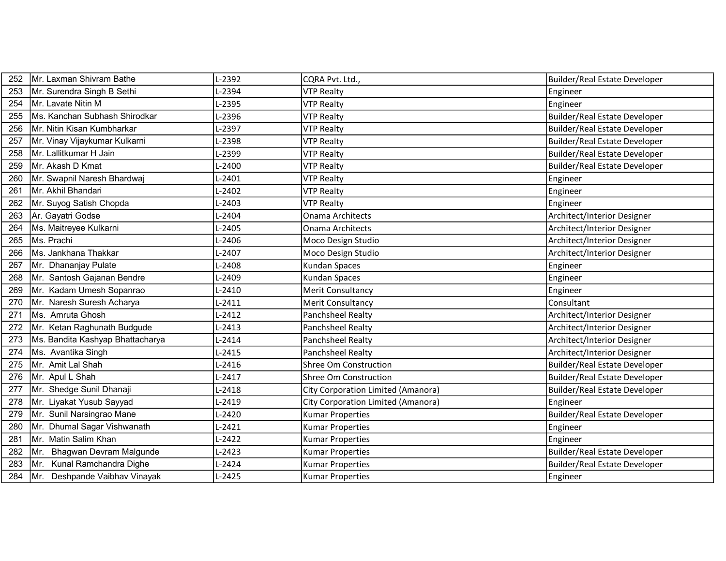| 252 | Mr. Laxman Shivram Bathe         | L-2392   | CQRA Pvt. Ltd.,                           | Builder/Real Estate Developer        |
|-----|----------------------------------|----------|-------------------------------------------|--------------------------------------|
| 253 | Mr. Surendra Singh B Sethi       | L-2394   | <b>VTP Realty</b>                         | Engineer                             |
| 254 | Mr. Lavate Nitin M               | L-2395   | <b>VTP Realty</b>                         | Engineer                             |
| 255 | Ms. Kanchan Subhash Shirodkar    | L-2396   | <b>VTP Realty</b>                         | Builder/Real Estate Developer        |
| 256 | Mr. Nitin Kisan Kumbharkar       | L-2397   | <b>VTP Realty</b>                         | Builder/Real Estate Developer        |
| 257 | Mr. Vinay Vijaykumar Kulkarni    | L-2398   | <b>VTP Realty</b>                         | Builder/Real Estate Developer        |
| 258 | Mr. Lallitkumar H Jain           | $-2399$  | <b>VTP Realty</b>                         | Builder/Real Estate Developer        |
| 259 | Mr. Akash D Kmat                 | L-2400   | <b>VTP Realty</b>                         | Builder/Real Estate Developer        |
| 260 | Mr. Swapnil Naresh Bhardwaj      | L-2401   | <b>VTP Realty</b>                         | Engineer                             |
| 261 | Mr. Akhil Bhandari               | L-2402   | <b>VTP Realty</b>                         | Engineer                             |
| 262 | Mr. Suyog Satish Chopda          | L-2403   | <b>VTP Realty</b>                         | Engineer                             |
| 263 | Ar. Gayatri Godse                | L-2404   | <b>Onama Architects</b>                   | Architect/Interior Designer          |
| 264 | Ms. Maitreyee Kulkarni           | L-2405   | <b>Onama Architects</b>                   | Architect/Interior Designer          |
| 265 | Ms. Prachi                       | L-2406   | Moco Design Studio                        | Architect/Interior Designer          |
| 266 | Ms. Jankhana Thakkar             | L-2407   | Moco Design Studio                        | Architect/Interior Designer          |
| 267 | Mr. Dhananjay Pulate             | L-2408   | Kundan Spaces                             | Engineer                             |
| 268 | Mr. Santosh Gajanan Bendre       | L-2409   | <b>Kundan Spaces</b>                      | Engineer                             |
| 269 | Mr. Kadam Umesh Sopanrao         | $-2410$  | <b>Merit Consultancy</b>                  | Engineer                             |
| 270 | Mr. Naresh Suresh Acharya        | $L-2411$ | <b>Merit Consultancy</b>                  | Consultant                           |
| 271 | Ms. Amruta Ghosh                 | L-2412   | Panchsheel Realty                         | Architect/Interior Designer          |
| 272 | Mr. Ketan Raghunath Budgude      | L-2413   | Panchsheel Realty                         | Architect/Interior Designer          |
| 273 | Ms. Bandita Kashyap Bhattacharya | L-2414   | Panchsheel Realty                         | Architect/Interior Designer          |
| 274 | Ms. Avantika Singh               | $L-2415$ | <b>Panchsheel Realty</b>                  | Architect/Interior Designer          |
| 275 | Mr. Amit Lal Shah                | L-2416   | Shree Om Construction                     | Builder/Real Estate Developer        |
| 276 | Mr. Apul L Shah                  | $L-2417$ | <b>Shree Om Construction</b>              | Builder/Real Estate Developer        |
| 277 | Mr. Shedge Sunil Dhanaji         | L-2418   | City Corporation Limited (Amanora)        | <b>Builder/Real Estate Developer</b> |
| 278 | Mr. Liyakat Yusub Sayyad         | L-2419   | <b>City Corporation Limited (Amanora)</b> | Engineer                             |
| 279 | Mr. Sunil Narsingrao Mane        | $L-2420$ | <b>Kumar Properties</b>                   | Builder/Real Estate Developer        |
| 280 | Mr. Dhumal Sagar Vishwanath      | L-2421   | <b>Kumar Properties</b>                   | Engineer                             |
| 281 | Mr. Matin Salim Khan             | L-2422   | <b>Kumar Properties</b>                   | Engineer                             |
| 282 | Mr. Bhagwan Devram Malgunde      | L-2423   | <b>Kumar Properties</b>                   | Builder/Real Estate Developer        |
| 283 | Mr. Kunal Ramchandra Dighe       | L-2424   | <b>Kumar Properties</b>                   | Builder/Real Estate Developer        |
| 284 | Mr. Deshpande Vaibhav Vinayak    | L-2425   | Kumar Properties                          | Engineer                             |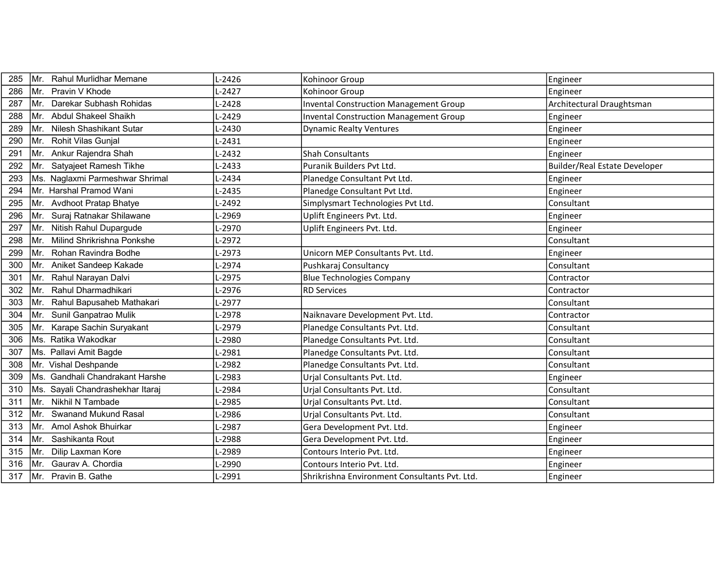| 285 | Mr.  | Rahul Murlidhar Memane          | L-2426     | Kohinoor Group                                | Engineer                             |
|-----|------|---------------------------------|------------|-----------------------------------------------|--------------------------------------|
| 286 | Mr.  | Pravin V Khode                  | $L - 2427$ | Kohinoor Group                                | Engineer                             |
| 287 | Mr.  | Darekar Subhash Rohidas         | $-2428$    | <b>Invental Construction Management Group</b> | Architectural Draughtsman            |
| 288 | Mr.  | Abdul Shakeel Shaikh            | $-2429$    | <b>Invental Construction Management Group</b> | Engineer                             |
| 289 | Mr.  | <b>Nilesh Shashikant Sutar</b>  | $-2430$    | <b>Dynamic Realty Ventures</b>                | Engineer                             |
| 290 | Mr.  | Rohit Vilas Gunjal              | L-2431     |                                               | Engineer                             |
| 291 | Mr.  | Ankur Rajendra Shah             | $-2432$    | <b>Shah Consultants</b>                       | Engineer                             |
| 292 | Mr.  | Satyajeet Ramesh Tikhe          | L-2433     | Puranik Builders Pvt Ltd.                     | <b>Builder/Real Estate Developer</b> |
| 293 |      | Ms. Naglaxmi Parmeshwar Shrimal | $-2434$    | Planedge Consultant Pvt Ltd.                  | Engineer                             |
| 294 |      | Mr. Harshal Pramod Wani         | $-2435$    | Planedge Consultant Pvt Ltd.                  | Engineer                             |
| 295 | Mr.  | <b>Avdhoot Pratap Bhatye</b>    | $-2492$    | Simplysmart Technologies Pvt Ltd.             | Consultant                           |
| 296 | Mr.  | Suraj Ratnakar Shilawane        | $-2969$    | Uplift Engineers Pvt. Ltd.                    | Engineer                             |
| 297 | Mr.  | Nitish Rahul Dupargude          | $-2970$    | Uplift Engineers Pvt. Ltd.                    | Engineer                             |
| 298 | Mr.  | Milind Shrikrishna Ponkshe      | $-2972$    |                                               | Consultant                           |
| 299 | Mr.  | Rohan Ravindra Bodhe            | L-2973     | Unicorn MEP Consultants Pvt. Ltd.             | Engineer                             |
| 300 | Mr.  | Aniket Sandeep Kakade           | $-2974$    | Pushkaraj Consultancy                         | Consultant                           |
| 301 | Mr.  | Rahul Narayan Dalvi             | L-2975     | <b>Blue Technologies Company</b>              | Contractor                           |
| 302 | Mr.  | Rahul Dharmadhikari             | $-2976$    | <b>RD Services</b>                            | Contractor                           |
| 303 | Mr.  | Rahul Bapusaheb Mathakari       | $-2977$    |                                               | Consultant                           |
| 304 | Mr.  | Sunil Ganpatrao Mulik           | $-2978$    | Naiknavare Development Pvt. Ltd.              | Contractor                           |
| 305 | Mr.  | Karape Sachin Suryakant         | $-2979$    | Planedge Consultants Pvt. Ltd.                | Consultant                           |
| 306 | Ms.  | Ratika Wakodkar                 | -2980      | Planedge Consultants Pvt. Ltd.                | Consultant                           |
| 307 |      | Ms. Pallavi Amit Bagde          | $-2981$    | Planedge Consultants Pvt. Ltd.                | Consultant                           |
| 308 |      | Mr. Vishal Deshpande            | $-2982$    | Planedge Consultants Pvt. Ltd.                | Consultant                           |
| 309 | IMs. | Gandhali Chandrakant Harshe     | $-2983$    | Urjal Consultants Pvt. Ltd.                   | Engineer                             |
| 310 | Ms.  | Sayali Chandrashekhar Itaraj    | $-2984$    | Urjal Consultants Pvt. Ltd.                   | Consultant                           |
| 311 | Mr.  | Nikhil N Tambade                | $-2985$    | Urial Consultants Pvt. Ltd.                   | Consultant                           |
| 312 | Mr.  | <b>Swanand Mukund Rasal</b>     | $-2986$    | Urjal Consultants Pvt. Ltd.                   | Consultant                           |
| 313 | Mr.  | Amol Ashok Bhuirkar             | $-2987$    | Gera Development Pvt. Ltd.                    | Engineer                             |
| 314 | IMr. | Sashikanta Rout                 | $-2988$    | Gera Development Pvt. Ltd.                    | Engineer                             |
| 315 | Mr.  | Dilip Laxman Kore               | $-2989$    | Contours Interio Pvt. Ltd.                    | Engineer                             |
| 316 | Mr.  | Gaurav A. Chordia               | -2990      | Contours Interio Pvt. Ltd.                    | Engineer                             |
| 317 |      | Mr. Pravin B. Gathe             | $-2991$    | Shrikrishna Environment Consultants Pvt. Ltd. | Engineer                             |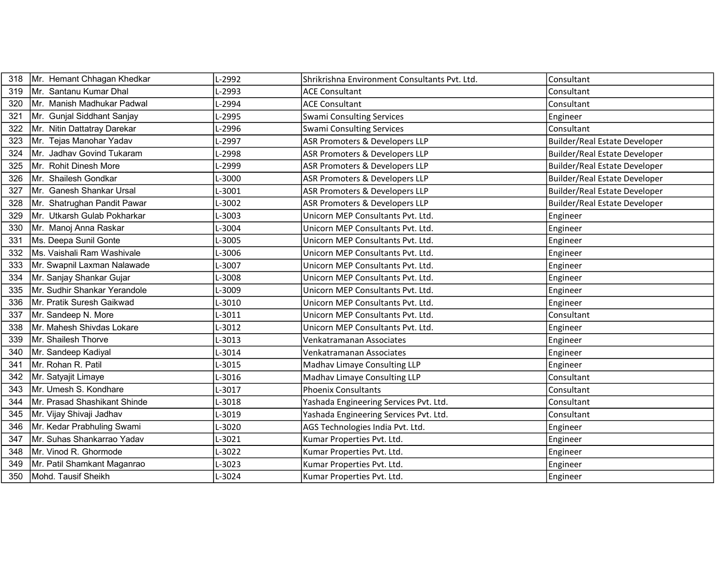| 318 | Mr. Hemant Chhagan Khedkar   | L-2992  | Shrikrishna Environment Consultants Pvt. Ltd. | Consultant                           |
|-----|------------------------------|---------|-----------------------------------------------|--------------------------------------|
| 319 | Mr. Santanu Kumar Dhal       | L-2993  | <b>ACE Consultant</b>                         | Consultant                           |
| 320 | Mr. Manish Madhukar Padwal   | L-2994  | <b>ACE Consultant</b>                         | Consultant                           |
| 321 | Mr. Gunjal Siddhant Sanjay   | L-2995  | <b>Swami Consulting Services</b>              | Engineer                             |
| 322 | Mr. Nitin Dattatray Darekar  | $-2996$ | <b>Swami Consulting Services</b>              | Consultant                           |
| 323 | Mr. Tejas Manohar Yadav      | L-2997  | ASR Promoters & Developers LLP                | <b>Builder/Real Estate Developer</b> |
| 324 | Mr. Jadhav Govind Tukaram    | L-2998  | ASR Promoters & Developers LLP                | <b>Builder/Real Estate Developer</b> |
| 325 | Mr. Rohit Dinesh More        | L-2999  | <b>ASR Promoters &amp; Developers LLP</b>     | Builder/Real Estate Developer        |
| 326 | Mr. Shailesh Gondkar         | L-3000  | ASR Promoters & Developers LLP                | Builder/Real Estate Developer        |
| 327 | Mr. Ganesh Shankar Ursal     | L-3001  | ASR Promoters & Developers LLP                | <b>Builder/Real Estate Developer</b> |
| 328 | Mr. Shatrughan Pandit Pawar  | L-3002  | <b>ASR Promoters &amp; Developers LLP</b>     | Builder/Real Estate Developer        |
| 329 | Mr. Utkarsh Gulab Pokharkar  | L-3003  | Unicorn MEP Consultants Pvt. Ltd.             | Engineer                             |
| 330 | Mr. Manoj Anna Raskar        | L-3004  | Unicorn MEP Consultants Pvt. Ltd.             | Engineer                             |
| 331 | Ms. Deepa Sunil Gonte        | L-3005  | Unicorn MEP Consultants Pvt. Ltd.             | Engineer                             |
| 332 | Ms. Vaishali Ram Washivale   | L-3006  | Unicorn MEP Consultants Pvt. Ltd.             | Engineer                             |
| 333 | Mr. Swapnil Laxman Nalawade  | $-3007$ | Unicorn MEP Consultants Pvt. Ltd.             | Engineer                             |
| 334 | Mr. Sanjay Shankar Gujar     | L-3008  | Unicorn MEP Consultants Pvt. Ltd.             | Engineer                             |
| 335 | Mr. Sudhir Shankar Yerandole | L-3009  | Unicorn MEP Consultants Pvt. Ltd.             | Engineer                             |
| 336 | Mr. Pratik Suresh Gaikwad    | L-3010  | Unicorn MEP Consultants Pvt. Ltd.             | Engineer                             |
| 337 | Mr. Sandeep N. More          | $-3011$ | Unicorn MEP Consultants Pvt. Ltd.             | Consultant                           |
| 338 | Mr. Mahesh Shivdas Lokare    | L-3012  | Unicorn MEP Consultants Pvt. Ltd.             | Engineer                             |
| 339 | Mr. Shailesh Thorve          | L-3013  | Venkatramanan Associates                      | Engineer                             |
| 340 | Mr. Sandeep Kadiyal          | L-3014  | Venkatramanan Associates                      | Engineer                             |
| 341 | Mr. Rohan R. Patil           | L-3015  | Madhav Limaye Consulting LLP                  | Engineer                             |
| 342 | Mr. Satyajit Limaye          | L-3016  | Madhav Limaye Consulting LLP                  | Consultant                           |
| 343 | Mr. Umesh S. Kondhare        | L-3017  | Phoenix Consultants                           | Consultant                           |
| 344 | Mr. Prasad Shashikant Shinde | $-3018$ | Yashada Engineering Services Pvt. Ltd.        | Consultant                           |
| 345 | Mr. Vijay Shivaji Jadhav     | L-3019  | Yashada Engineering Services Pvt. Ltd.        | Consultant                           |
| 346 | Mr. Kedar Prabhuling Swami   | $-3020$ | AGS Technologies India Pvt. Ltd.              | Engineer                             |
| 347 | Mr. Suhas Shankarrao Yadav   | L-3021  | Kumar Properties Pvt. Ltd.                    | Engineer                             |
| 348 | Mr. Vinod R. Ghormode        | $-3022$ | Kumar Properties Pvt. Ltd.                    | Engineer                             |
| 349 | Mr. Patil Shamkant Maganrao  | L-3023  | Kumar Properties Pvt. Ltd.                    | Engineer                             |
| 350 | Mohd. Tausif Sheikh          | L-3024  | Kumar Properties Pvt. Ltd.                    | Engineer                             |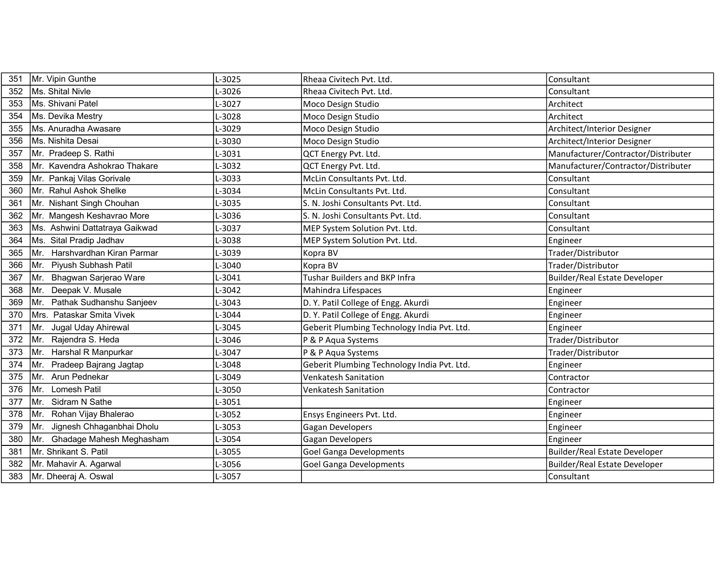| 351 | Mr. Vipin Gunthe                  | L-3025  | Rheaa Civitech Pvt. Ltd.                    | Consultant                           |
|-----|-----------------------------------|---------|---------------------------------------------|--------------------------------------|
| 352 | Ms. Shital Nivle                  | L-3026  | Rheaa Civitech Pvt. Ltd.                    | Consultant                           |
| 353 | Ms. Shivani Patel                 | $-3027$ | Moco Design Studio                          | Architect                            |
| 354 | Ms. Devika Mestry                 | L-3028  | Moco Design Studio                          | Architect                            |
| 355 | Ms. Anuradha Awasare              | $-3029$ | Moco Design Studio                          | Architect/Interior Designer          |
| 356 | Ms. Nishita Desai                 | L-3030  | Moco Design Studio                          | Architect/Interior Designer          |
| 357 | Mr. Pradeep S. Rathi              | $-3031$ | QCT Energy Pvt. Ltd.                        | Manufacturer/Contractor/Distributer  |
| 358 | Mr. Kavendra Ashokrao Thakare     | $-3032$ | QCT Energy Pvt. Ltd.                        | Manufacturer/Contractor/Distributer  |
| 359 | Mr. Pankaj Vilas Gorivale         | -3033   | McLin Consultants Pvt. Ltd.                 | Consultant                           |
| 360 | Mr. Rahul Ashok Shelke            | L-3034  | McLin Consultants Pvt. Ltd.                 | Consultant                           |
| 361 | Mr. Nishant Singh Chouhan         | $-3035$ | S. N. Joshi Consultants Pvt. Ltd.           | Consultant                           |
| 362 | Mr. Mangesh Keshavrao More        | $-3036$ | S. N. Joshi Consultants Pvt. Ltd.           | Consultant                           |
| 363 | Ms. Ashwini Dattatraya Gaikwad    | -3037   | MEP System Solution Pvt. Ltd.               | Consultant                           |
| 364 | Ms. Sital Pradip Jadhav           | 1-3038  | MEP System Solution Pvt. Ltd.               | Engineer                             |
| 365 | Harshvardhan Kiran Parmar<br>IMr. | L-3039  | Kopra BV                                    | Trader/Distributor                   |
| 366 | Piyush Subhash Patil<br>Mr.       | $-3040$ | Kopra BV                                    | Trader/Distributor                   |
| 367 | Bhagwan Sarjerao Ware<br>IMr.     | L-3041  | Tushar Builders and BKP Infra               | <b>Builder/Real Estate Developer</b> |
| 368 | Deepak V. Musale<br>Mr.           | $-3042$ | Mahindra Lifespaces                         | Engineer                             |
| 369 | Pathak Sudhanshu Sanjeev<br>IMr.  | $-3043$ | D. Y. Patil College of Engg. Akurdi         | Engineer                             |
| 370 | Mrs. Pataskar Smita Vivek         | $-3044$ | D. Y. Patil College of Engg. Akurdi         | Engineer                             |
| 371 | Jugal Uday Ahirewal<br>Mr.        | L-3045  | Geberit Plumbing Technology India Pvt. Ltd. | Engineer                             |
| 372 | Rajendra S. Heda<br>Mr.           | $-3046$ | P & P Aqua Systems                          | Trader/Distributor                   |
| 373 | Harshal R Manpurkar<br>Mr.        | $-3047$ | P & P Aqua Systems                          | Trader/Distributor                   |
| 374 | Pradeep Bajrang Jagtap<br>Mr.     | $-3048$ | Geberit Plumbing Technology India Pvt. Ltd. | Engineer                             |
| 375 | Arun Pednekar<br>Mr.              | $-3049$ | <b>Venkatesh Sanitation</b>                 | Contractor                           |
| 376 | Lomesh Patil<br>Mr.               | 1-3050  | <b>Venkatesh Sanitation</b>                 | Contractor                           |
| 377 | Mr.<br>Sidram N Sathe             | $-3051$ |                                             | Engineer                             |
| 378 | Rohan Vijay Bhalerao<br>Mr.       | L-3052  | Ensys Engineers Pvt. Ltd.                   | Engineer                             |
| 379 | Jignesh Chhaganbhai Dholu<br>Mr.  | $-3053$ | Gagan Developers                            | Engineer                             |
| 380 | Ghadage Mahesh Meghasham<br>Mr.   | L-3054  | <b>Gagan Developers</b>                     | Engineer                             |
| 381 | Mr. Shrikant S. Patil             | $-3055$ | <b>Goel Ganga Developments</b>              | Builder/Real Estate Developer        |
| 382 | Mr. Mahavir A. Agarwal            | L-3056  | <b>Goel Ganga Developments</b>              | <b>Builder/Real Estate Developer</b> |
| 383 | Mr. Dheeraj A. Oswal              | $-3057$ |                                             | Consultant                           |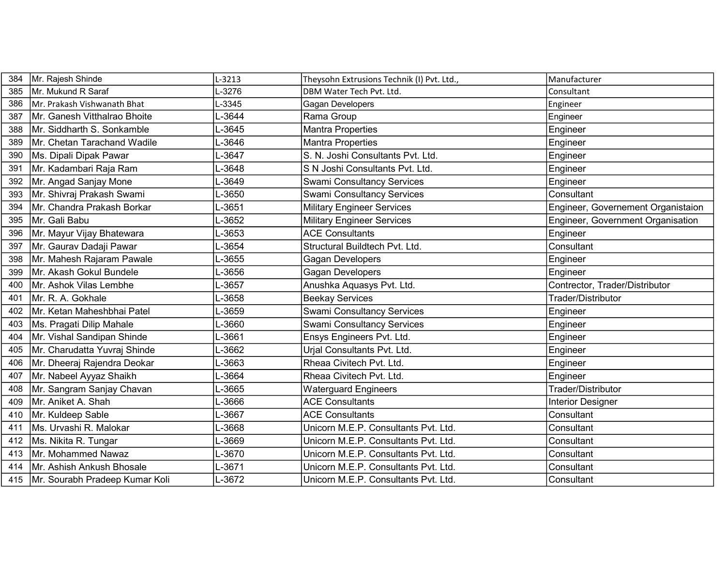| 384 | Mr. Rajesh Shinde              | L-3213  | Theysohn Extrusions Technik (I) Pvt. Ltd., | Manufacturer                       |
|-----|--------------------------------|---------|--------------------------------------------|------------------------------------|
| 385 | Mr. Mukund R Saraf             | $-3276$ | DBM Water Tech Pvt. Ltd.                   | Consultant                         |
| 386 | Mr. Prakash Vishwanath Bhat    | $-3345$ | Gagan Developers                           | Engineer                           |
| 387 | Mr. Ganesh Vitthalrao Bhoite   | L-3644  | Rama Group                                 | Engineer                           |
| 388 | Mr. Siddharth S. Sonkamble     | $-3645$ | <b>Mantra Properties</b>                   | Engineer                           |
| 389 | Mr. Chetan Tarachand Wadile    | L-3646  | <b>Mantra Properties</b>                   | Engineer                           |
| 390 | Ms. Dipali Dipak Pawar         | L-3647  | S. N. Joshi Consultants Pvt. Ltd.          | Engineer                           |
| 391 | Mr. Kadambari Raja Ram         | L-3648  | S N Joshi Consultants Pvt. Ltd.            | Engineer                           |
| 392 | Mr. Angad Sanjay Mone          | -3649   | <b>Swami Consultancy Services</b>          | Engineer                           |
| 393 | Mr. Shivraj Prakash Swami      | L-3650  | <b>Swami Consultancy Services</b>          | Consultant                         |
| 394 | Mr. Chandra Prakash Borkar     | L-3651  | <b>Military Engineer Services</b>          | Engineer, Governement Organistaion |
| 395 | Mr. Gali Babu                  | $-3652$ | <b>Military Engineer Services</b>          | Engineer, Government Organisation  |
| 396 | Mr. Mayur Vijay Bhatewara      | L-3653  | <b>ACE Consultants</b>                     | Engineer                           |
| 397 | Mr. Gaurav Dadaji Pawar        | L-3654  | Structural Buildtech Pvt. Ltd.             | Consultant                         |
| 398 | Mr. Mahesh Rajaram Pawale      | L-3655  | Gagan Developers                           | Engineer                           |
| 399 | İMr. Akash Gokul Bundele       | L-3656  | Gagan Developers                           | Engineer                           |
| 400 | Mr. Ashok Vilas Lembhe         | L-3657  | Anushka Aquasys Pvt. Ltd.                  | Contrector, Trader/Distributor     |
| 401 | Mr. R. A. Gokhale              | L-3658  | <b>Beekay Services</b>                     | Trader/Distributor                 |
| 402 | Mr. Ketan Maheshbhai Patel     | L-3659  | <b>Swami Consultancy Services</b>          | Engineer                           |
| 403 | Ms. Pragati Dilip Mahale       | L-3660  | <b>Swami Consultancy Services</b>          | Engineer                           |
| 404 | Mr. Vishal Sandipan Shinde     | L-3661  | Ensys Engineers Pvt. Ltd.                  | Engineer                           |
| 405 | Mr. Charudatta Yuvraj Shinde   | L-3662  | Urjal Consultants Pvt. Ltd.                | Engineer                           |
| 406 | Mr. Dheeraj Rajendra Deokar    | -3663   | Rheaa Civitech Pvt. Ltd.                   | Engineer                           |
| 407 | Mr. Nabeel Ayyaz Shaikh        | L-3664  | Rheaa Civitech Pvt. Ltd.                   | Engineer                           |
| 408 | Mr. Sangram Sanjay Chavan      | L-3665  | <b>Waterguard Engineers</b>                | Trader/Distributor                 |
| 409 | Mr. Aniket A. Shah             | L-3666  | <b>ACE Consultants</b>                     | <b>Interior Designer</b>           |
| 410 | Mr. Kuldeep Sable              | L-3667  | <b>ACE Consultants</b>                     | Consultant                         |
| 411 | Ms. Urvashi R. Malokar         | L-3668  | Unicorn M.E.P. Consultants Pvt. Ltd.       | Consultant                         |
| 412 | Ms. Nikita R. Tungar           | -3669   | Unicorn M.E.P. Consultants Pvt. Ltd.       | Consultant                         |
| 413 | Mr. Mohammed Nawaz             | L-3670  | Unicorn M.E.P. Consultants Pvt. Ltd.       | Consultant                         |
| 414 | Mr. Ashish Ankush Bhosale      | L-3671  | Unicorn M.E.P. Consultants Pvt. Ltd.       | Consultant                         |
| 415 | Mr. Sourabh Pradeep Kumar Koli | L-3672  | Unicorn M.E.P. Consultants Pvt. Ltd.       | Consultant                         |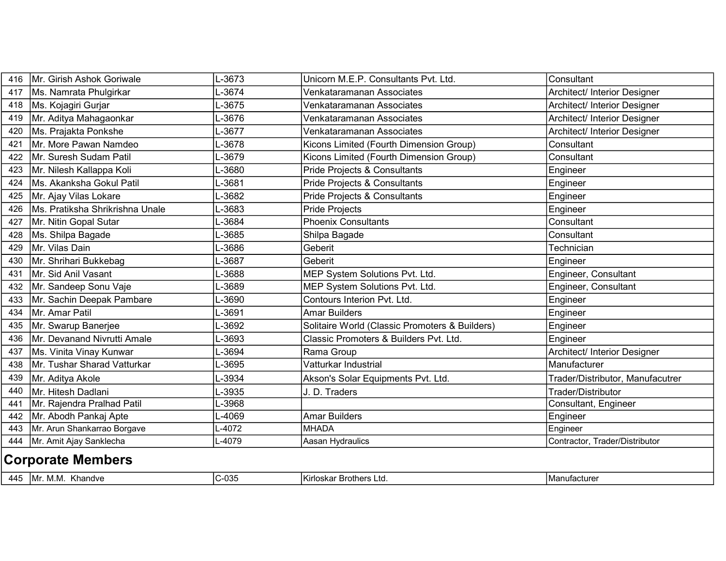| 416 | Mr. Girish Ashok Goriwale       | L-3673  | Unicorn M.E.P. Consultants Pvt. Ltd.           | Consultant                       |  |  |
|-----|---------------------------------|---------|------------------------------------------------|----------------------------------|--|--|
| 417 | Ms. Namrata Phulgirkar          | L-3674  | Venkataramanan Associates                      | Architect/ Interior Designer     |  |  |
| 418 | Ms. Kojagiri Gurjar             | L-3675  | Venkataramanan Associates                      | Architect/ Interior Designer     |  |  |
| 419 | Mr. Aditya Mahagaonkar          | L-3676  | Venkataramanan Associates                      | Architect/ Interior Designer     |  |  |
| 420 | Ms. Prajakta Ponkshe            | $-3677$ | Venkataramanan Associates                      | Architect/ Interior Designer     |  |  |
| 421 | Mr. More Pawan Namdeo           | L-3678  | Kicons Limited (Fourth Dimension Group)        | Consultant                       |  |  |
| 422 | Mr. Suresh Sudam Patil          | L-3679  | Kicons Limited (Fourth Dimension Group)        | Consultant                       |  |  |
| 423 | Mr. Nilesh Kallappa Koli        | -3680   | Pride Projects & Consultants                   | Engineer                         |  |  |
| 424 | Ms. Akanksha Gokul Patil        | L-3681  | Pride Projects & Consultants                   | Engineer                         |  |  |
| 425 | Mr. Ajay Vilas Lokare           | L-3682  | Pride Projects & Consultants                   | Engineer                         |  |  |
| 426 | Ms. Pratiksha Shrikrishna Unale | L-3683  | <b>Pride Projects</b>                          | Engineer                         |  |  |
| 427 | Mr. Nitin Gopal Sutar           | L-3684  | <b>Phoenix Consultants</b>                     | Consultant                       |  |  |
| 428 | Ms. Shilpa Bagade               | L-3685  | Shilpa Bagade                                  | Consultant                       |  |  |
| 429 | Mr. Vilas Dain                  | L-3686  | Geberit                                        | Technician                       |  |  |
| 430 | Mr. Shrihari Bukkebag           | L-3687  | Geberit                                        | Engineer                         |  |  |
| 431 | Mr. Sid Anil Vasant             | L-3688  | MEP System Solutions Pvt. Ltd.                 | Engineer, Consultant             |  |  |
| 432 | Mr. Sandeep Sonu Vaje           | L-3689  | MEP System Solutions Pvt. Ltd.                 | Engineer, Consultant             |  |  |
| 433 | Mr. Sachin Deepak Pambare       | L-3690  | Contours Interion Pvt. Ltd.                    | Engineer                         |  |  |
| 434 | Mr. Amar Patil                  | L-3691  | <b>Amar Builders</b>                           | Engineer                         |  |  |
| 435 | Mr. Swarup Banerjee             | L-3692  | Solitaire World (Classic Promoters & Builders) | Engineer                         |  |  |
| 436 | Mr. Devanand Nivrutti Amale     | L-3693  | Classic Promoters & Builders Pvt. Ltd.         | Engineer                         |  |  |
| 437 | Ms. Vinita Vinay Kunwar         | -3694   | Rama Group                                     | Architect/ Interior Designer     |  |  |
| 438 | Mr. Tushar Sharad Vatturkar     | L-3695  | Vatturkar Industrial                           | Manufacturer                     |  |  |
| 439 | Mr. Aditya Akole                | L-3934  | Akson's Solar Equipments Pvt. Ltd.             | Trader/Distributor, Manufacutrer |  |  |
| 440 | Mr. Hitesh Dadlani              | L-3935  | J. D. Traders                                  | Trader/Distributor               |  |  |
| 441 | Mr. Rajendra Pralhad Patil      | L-3968  |                                                | Consultant, Engineer             |  |  |
| 442 | Mr. Abodh Pankaj Apte           | L-4069  | <b>Amar Builders</b>                           | Engineer                         |  |  |
| 443 | Mr. Arun Shankarrao Borgave     | $-4072$ | MHADA                                          | Engineer                         |  |  |
| 444 | Mr. Amit Ajay Sanklecha         | L-4079  | Aasan Hydraulics                               | Contractor, Trader/Distributor   |  |  |
|     | <b>Corporate Members</b>        |         |                                                |                                  |  |  |
|     | 445   Mr. M.M. Khandve          | C-035   | İKirloskar Brothers Ltd.                       | Manufacturer                     |  |  |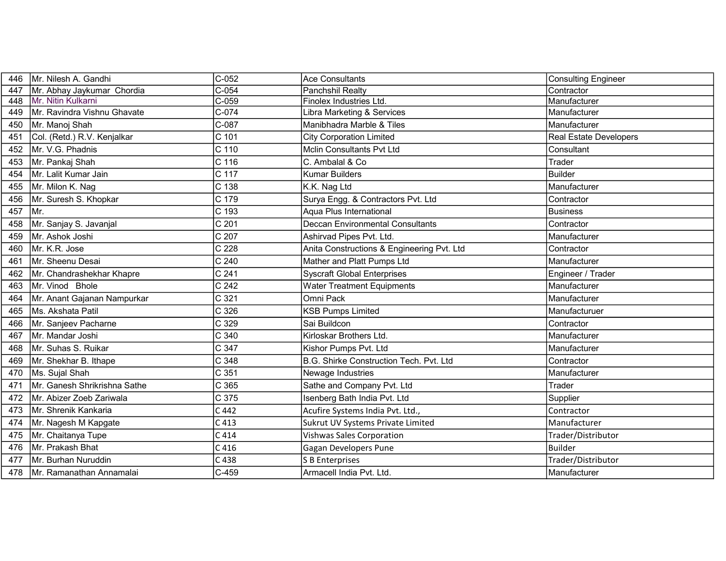| 446 | Mr. Nilesh A. Gandhi          | $C-052$            | <b>Ace Consultants</b>                     | Consulting Engineer           |
|-----|-------------------------------|--------------------|--------------------------------------------|-------------------------------|
| 447 | Mr. Abhay Jaykumar Chordia    | $\overline{C-054}$ | Panchshil Realty                           | Contractor                    |
| 448 | Mr. Nitin Kulkarni            | $C-059$            | Finolex Industries Ltd.                    | Manufacturer                  |
| 449 | Mr. Ravindra Vishnu Ghavate   | $C-074$            | Libra Marketing & Services                 | Manufacturer                  |
| 450 | Mr. Manoj Shah                | C-087              | Manibhadra Marble & Tiles                  | Manufacturer                  |
| 451 | Col. (Retd.) R.V. Kenjalkar   | C 101              | <b>City Corporation Limited</b>            | <b>Real Estate Developers</b> |
| 452 | Mr. V.G. Phadnis              | C 110              | <b>Mclin Consultants Pvt Ltd</b>           | Consultant                    |
| 453 | Mr. Pankaj Shah               | C 116              | C. Ambalal & Co                            | Trader                        |
| 454 | Mr. Lalit Kumar Jain          | C 117              | <b>Kumar Builders</b>                      | Builder                       |
| 455 | Mr. Milon K. Nag              | C 138              | K.K. Nag Ltd                               | Manufacturer                  |
| 456 | Mr. Suresh S. Khopkar         | C 179              | Surya Engg. & Contractors Pvt. Ltd         | Contractor                    |
| 457 | Mr.                           | C 193              | Aqua Plus International                    | <b>Business</b>               |
| 458 | Mr. Sanjay S. Javanjal        | C 201              | <b>Deccan Environmental Consultants</b>    | Contractor                    |
| 459 | Mr. Ashok Joshi               | C 207              | Ashirvad Pipes Pvt. Ltd.                   | Manufacturer                  |
| 460 | Mr. K.R. Jose                 | C 228              | Anita Constructions & Engineering Pvt. Ltd | Contractor                    |
| 461 | Mr. Sheenu Desai              | C 240              | Mather and Platt Pumps Ltd                 | Manufacturer                  |
| 462 | Mr. Chandrashekhar Khapre     | C 241              | <b>Syscraft Global Enterprises</b>         | Engineer / Trader             |
| 463 | Mr. Vinod Bhole               | C 242              | <b>Water Treatment Equipments</b>          | Manufacturer                  |
| 464 | Mr. Anant Gajanan Nampurkar   | C 321              | Omni Pack                                  | Manufacturer                  |
| 465 | Ms. Akshata Patil             | C 326              | <b>KSB Pumps Limited</b>                   | Manufacturuer                 |
| 466 | Mr. Sanjeev Pacharne          | C 329              | Sai Buildcon                               | Contractor                    |
| 467 | Mr. Mandar Joshi              | C 340              | Kirloskar Brothers Ltd.                    | Manufacturer                  |
| 468 | Mr. Suhas S. Ruikar           | C 347              | Kishor Pumps Pvt. Ltd                      | Manufacturer                  |
| 469 | Mr. Shekhar B. Ithape         | C 348              | B.G. Shirke Construction Tech. Pvt. Ltd    | Contractor                    |
| 470 | Ms. Sujal Shah                | C 351              | Newage Industries                          | Manufacturer                  |
| 471 | IMr. Ganesh Shrikrishna Sathe | C 365              | Sathe and Company Pvt. Ltd                 | Trader                        |
| 472 | Mr. Abizer Zoeb Zariwala      | C 375              | Isenberg Bath India Pvt. Ltd               | Supplier                      |
| 473 | Mr. Shrenik Kankaria          | C 442              | Acufire Systems India Pvt. Ltd.,           | Contractor                    |
| 474 | Mr. Nagesh M Kapgate          | C <sub>413</sub>   | Sukrut UV Systems Private Limited          | Manufacturer                  |
| 475 | Mr. Chaitanya Tupe            | C 414              | <b>Vishwas Sales Corporation</b>           | Trader/Distributor            |
| 476 | Mr. Prakash Bhat              | C <sub>416</sub>   | Gagan Developers Pune                      | Builder                       |
| 477 | İMr. Burhan Nuruddin          | C 438              | S B Enterprises                            | Trader/Distributor            |
| 478 | Mr. Ramanathan Annamalai      | $C-459$            | Armacell India Pvt. Ltd.                   | Manufacturer                  |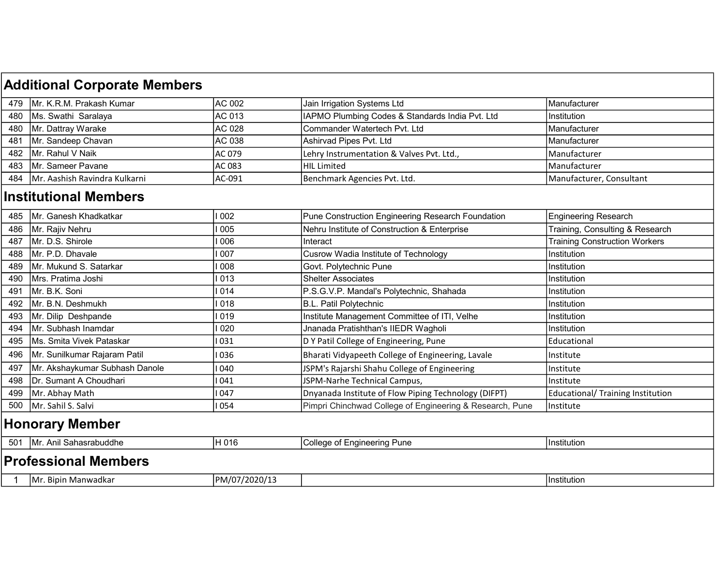## 479 Mr. K.R.M. Prakash Kumar AC 002 Jain Irrigation Systems Ltd Manufacturer 480 |Ms. Swathi Saralaya |AC 013 |IAPMO Plumbing Codes & Standards India Pvt. Ltd Institution 480 Mr. Dattray Warake **AC 028 Commander Watertech Pvt. Ltd** Manufacturer Manufacturer 481 Mr. Sandeep Chavan AC 038 Ashirvad Pipes Pvt. Ltd Manufacturer 482 Mr. Rahul V Naik AC 079 AC 079 Lehry Instrumentation & Valves Pvt. Ltd., Allehry Instrumentation & Valves Pvt. Ltd., 483 Mr. Sameer Pavane **Ackway AC 083** HIL Limited Manufacturer Manufacturer Manufacturer 484 |Mr. Aashish Ravindra Kulkarni |AC-091 Benchmark Agencies Pvt. Ltd. |Manufacturer, Consultant 485 |Mr. Ganesh Khadkatkar | I 002 Pune Construction Engineering Research Foundation Engineering Research 486 Mr. Rajiv Nehru I 1 005 | 1 005 | Nehru Institute of Construction & Enterprise Training, Consulting & Research 487 |Mr. D.S. Shirole **I CONSTANT | INTERNATION CONSTANT | INTERNATION | Interact** Training Construction Workers 488 Mr. P.D. Dhavale **I** Cusrow Wadia Institute of Technology Institution 489 Mr. Mukund S. Satarkar II 008 Govt. Polytechnic Pune Institution 490 Mrs. Pratima Joshi I 013 Shelter Associates Institution 491 Mr. B.K. Soni **I Republic 2014** P.S.G.V.P. Mandal's Polytechnic, Shahada **Institution** 492 Mr. B.N. Deshmukh I 018 B.L. Patil Polytechnic Institution 493 |Mr. Dilip Deshpande | I 019 | I 019 | Institute Management Committee of ITI, Velhe | Institution 494 Mr. Subhash Inamdar I 020 Jnanada Pratishthan's IIEDR Wagholi Institution 495 |Ms. Smita Vivek Pataskar | 1 031 D Y Patil College of Engineering, Pune | Educational 496 Mr. Sunilkumar Rajaram Patil I 036 Bharati Vidyapeeth College of Engineering, Lavale Institute 497 |Mr. Akshaykumar Subhash Danole | 1940 | ISPM's Rajarshi Shahu College of Engineering | Institute 498 Dr. Sumant A Choudhari I 041 JSPM-Narhe Technical Campus, Institute 499 |Mr. Abhay Math I 2010 | 1 047 | Dnyanada Institute of Flow Piping Technology (DIFPT) | Educational/ Training Institution 500 | Mr. Sahil S. Salvi **I 1 054** | 1 054 | Pimpri Chinchwad College of Engineering & Research, Pune | Institute 501 Mr. Anil Sahasrabuddhe **H** 016 College of Engineering Pune Institution 1 Mr. Bipin Manwadkar PM/07/2020/13 Institution Professional Members Additional Corporate Members Institutional Members Honorary Member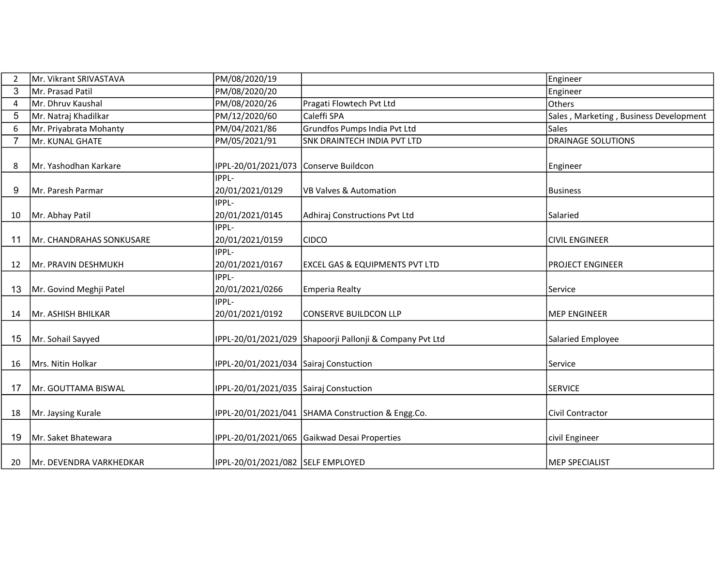| 2  | Mr. Vikrant SRIVASTAVA   | PM/08/2020/19                          |                                                          | Engineer                               |
|----|--------------------------|----------------------------------------|----------------------------------------------------------|----------------------------------------|
| 3  | Mr. Prasad Patil         | PM/08/2020/20                          |                                                          | Engineer                               |
| 4  | Mr. Dhruv Kaushal        | PM/08/2020/26                          | Pragati Flowtech Pvt Ltd                                 | <b>Others</b>                          |
| 5  | Mr. Natraj Khadilkar     | PM/12/2020/60                          | Caleffi SPA                                              | Sales, Marketing, Business Development |
| 6  | Mr. Priyabrata Mohanty   | PM/04/2021/86                          | Grundfos Pumps India Pvt Ltd                             | Sales                                  |
| 7  | Mr. KUNAL GHATE          | PM/05/2021/91                          | SNK DRAINTECH INDIA PVT LTD                              | <b>DRAINAGE SOLUTIONS</b>              |
| 8  | Mr. Yashodhan Karkare    | IPPL-20/01/2021/073 Conserve Buildcon  |                                                          | Engineer                               |
| 9  | Mr. Paresh Parmar        | IPPL-<br>20/01/2021/0129               | <b>VB Valves &amp; Automation</b>                        | Business                               |
| 10 | Mr. Abhay Patil          | <b>IPPL-</b><br>20/01/2021/0145        | Adhiraj Constructions Pvt Ltd                            | l Salaried                             |
| 11 | Mr. CHANDRAHAS SONKUSARE | <b>IPPL-</b><br>20/01/2021/0159        | <b>CIDCO</b>                                             | <b>CIVIL ENGINEER</b>                  |
| 12 | Mr. PRAVIN DESHMUKH      | IPPL-<br>20/01/2021/0167               | <b>EXCEL GAS &amp; EQUIPMENTS PVT LTD</b>                | <b>PROJECT ENGINEER</b>                |
| 13 | Mr. Govind Meghji Patel  | <b>IPPL-</b><br>20/01/2021/0266        | Emperia Realty                                           | Service                                |
| 14 | Mr. ASHISH BHILKAR       | IPPL-<br>20/01/2021/0192               | lconserve buildcon llp                                   | MEP ENGINEER                           |
| 15 | Mr. Sohail Sayyed        |                                        | IPPL-20/01/2021/029 Shapoorji Pallonji & Company Pvt Ltd | Salaried Employee                      |
| 16 | Mrs. Nitin Holkar        | IPPL-20/01/2021/034 Sairaj Constuction |                                                          | Service                                |
| 17 | Mr. GOUTTAMA BISWAL      | IPPL-20/01/2021/035 Sairaj Constuction |                                                          | <b>SERVICE</b>                         |
| 18 | Mr. Jaysing Kurale       |                                        | IPPL-20/01/2021/041 SHAMA Construction & Engg.Co.        | Civil Contractor                       |
| 19 | Mr. Saket Bhatewara      |                                        | IPPL-20/01/2021/065 Gaikwad Desai Properties             | civil Engineer                         |
| 20 | Mr. DEVENDRA VARKHEDKAR  | IPPL-20/01/2021/082 SELF EMPLOYED      |                                                          | MEP SPECIALIST                         |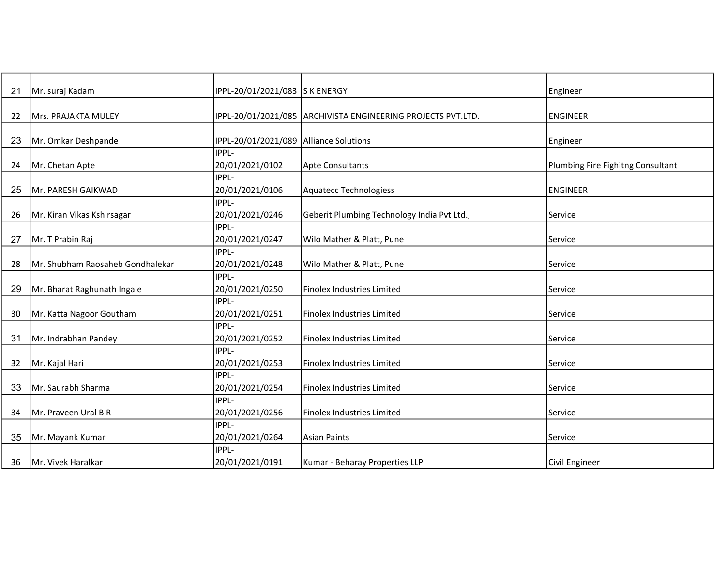| 21 | Mr. suraj Kadam                  | IPPL-20/01/2021/083 S K ENERGY           |                                                              | Engineer                          |
|----|----------------------------------|------------------------------------------|--------------------------------------------------------------|-----------------------------------|
|    |                                  |                                          |                                                              |                                   |
| 22 | Mrs. PRAJAKTA MULEY              |                                          | IPPL-20/01/2021/085 ARCHIVISTA ENGINEERING PROJECTS PVT.LTD. | ENGINEER                          |
|    |                                  |                                          |                                                              |                                   |
| 23 | Mr. Omkar Deshpande              | IPPL-20/01/2021/089   Alliance Solutions |                                                              | Engineer                          |
|    |                                  | IPPL-                                    |                                                              |                                   |
| 24 | Mr. Chetan Apte                  | 20/01/2021/0102                          | Apte Consultants                                             | Plumbing Fire Fighitng Consultant |
|    |                                  | IPPL-                                    |                                                              |                                   |
| 25 | Mr. PARESH GAIKWAD               | 20/01/2021/0106                          | Aquatecc Technologiess                                       | <b>ENGINEER</b>                   |
|    |                                  | IPPL-                                    |                                                              |                                   |
| 26 | Mr. Kiran Vikas Kshirsagar       | 20/01/2021/0246                          | Geberit Plumbing Technology India Pvt Ltd.,                  | Service                           |
|    |                                  | IPPL-                                    |                                                              |                                   |
| 27 | Mr. T Prabin Raj                 | 20/01/2021/0247                          | Wilo Mather & Platt, Pune                                    | Service                           |
|    |                                  | IPPL-                                    |                                                              |                                   |
| 28 | Mr. Shubham Raosaheb Gondhalekar | 20/01/2021/0248                          | Wilo Mather & Platt, Pune                                    | Service                           |
|    |                                  | IPPL-                                    |                                                              |                                   |
| 29 | Mr. Bharat Raghunath Ingale      | 20/01/2021/0250                          | Finolex Industries Limited                                   | Service                           |
|    |                                  | IPPL-                                    |                                                              |                                   |
| 30 | Mr. Katta Nagoor Goutham         | 20/01/2021/0251                          | Finolex Industries Limited                                   | Service                           |
|    |                                  | IPPL-                                    |                                                              |                                   |
| 31 | Mr. Indrabhan Pandey             | 20/01/2021/0252                          | <b>Finolex Industries Limited</b>                            | lService                          |
|    |                                  | IPPL-                                    |                                                              |                                   |
| 32 | Mr. Kajal Hari                   | 20/01/2021/0253                          | Finolex Industries Limited                                   | Service                           |
|    |                                  | IPPL-                                    |                                                              |                                   |
| 33 | Mr. Saurabh Sharma               | 20/01/2021/0254                          | Finolex Industries Limited                                   | Service                           |
|    |                                  | IPPL-                                    |                                                              |                                   |
| 34 | Mr. Praveen Ural B R             | 20/01/2021/0256                          | Finolex Industries Limited                                   | Service                           |
|    |                                  | IPPL-                                    |                                                              |                                   |
| 35 | Mr. Mayank Kumar                 | 20/01/2021/0264                          | Asian Paints                                                 | Service                           |
|    |                                  | IPPL-                                    |                                                              |                                   |
| 36 | Mr. Vivek Haralkar               | 20/01/2021/0191                          | Kumar - Beharay Properties LLP                               | Civil Engineer                    |
|    |                                  |                                          |                                                              |                                   |